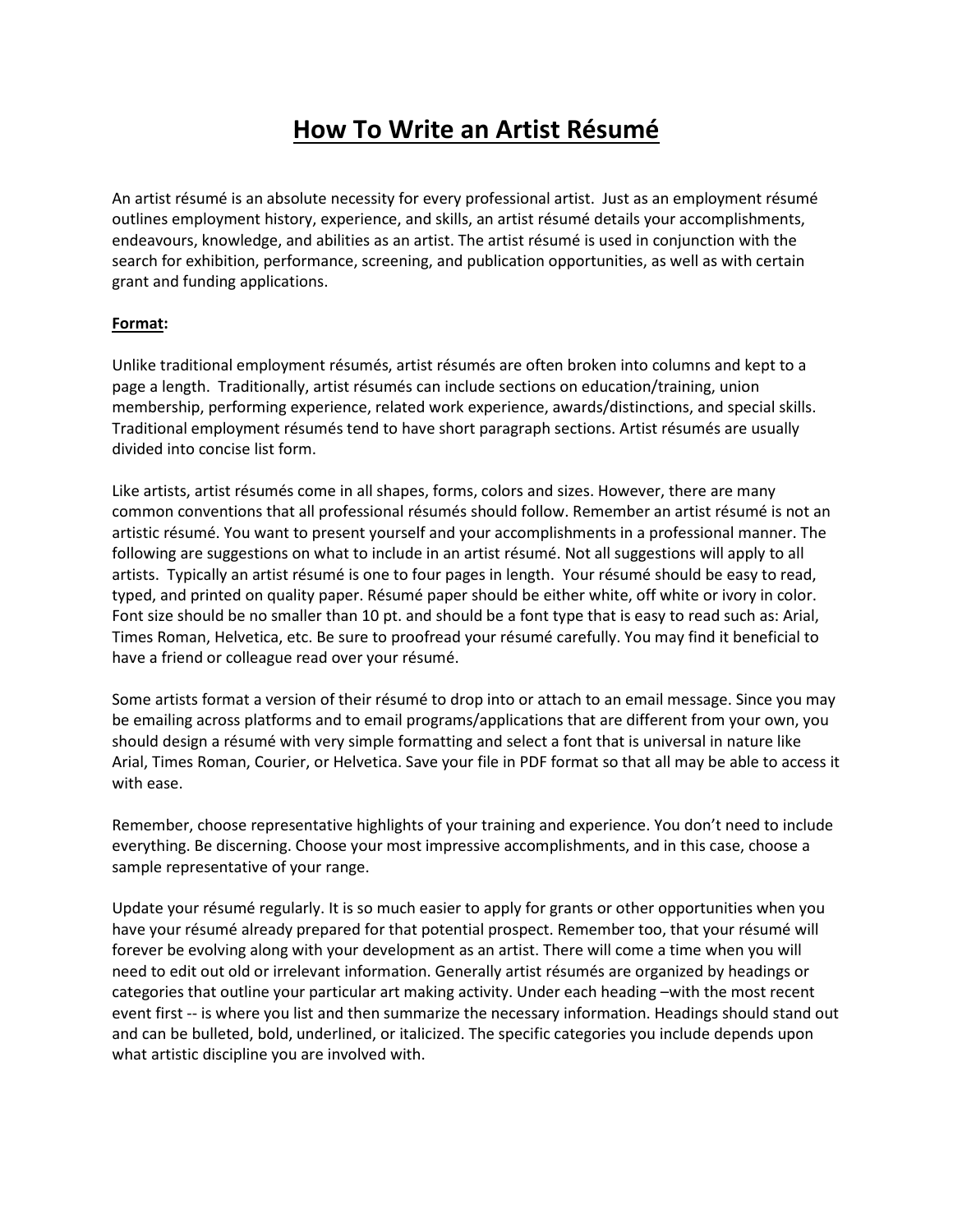# **How To Write an Artist Résumé**

An artist résumé is an absolute necessity for every professional artist. Just as an employment résumé outlines employment history, experience, and skills, an artist résumé details your accomplishments, endeavours, knowledge, and abilities as an artist. The artist résumé is used in conjunction with the search for exhibition, performance, screening, and publication opportunities, as well as with certain grant and funding applications.

# **Format:**

Unlike traditional employment résumés, artist résumés are often broken into columns and kept to a page a length. Traditionally, artist résumés can include sections on education/training, union membership, performing experience, related work experience, awards/distinctions, and special skills. Traditional employment résumés tend to have short paragraph sections. Artist résumés are usually divided into concise list form.

Like artists, artist résumés come in all shapes, forms, colors and sizes. However, there are many common conventions that all professional résumés should follow. Remember an artist résumé is not an artistic résumé. You want to present yourself and your accomplishments in a professional manner. The following are suggestions on what to include in an artist résumé. Not all suggestions will apply to all artists. Typically an artist résumé is one to four pages in length. Your résumé should be easy to read, typed, and printed on quality paper. Résumé paper should be either white, off white or ivory in color. Font size should be no smaller than 10 pt. and should be a font type that is easy to read such as: Arial, Times Roman, Helvetica, etc. Be sure to proofread your résumé carefully. You may find it beneficial to have a friend or colleague read over your résumé.

Some artists format a version of their résumé to drop into or attach to an email message. Since you may be emailing across platforms and to email programs/applications that are different from your own, you should design a résumé with very simple formatting and select a font that is universal in nature like Arial, Times Roman, Courier, or Helvetica. Save your file in PDF format so that all may be able to access it with ease.

Remember, choose representative highlights of your training and experience. You don't need to include everything. Be discerning. Choose your most impressive accomplishments, and in this case, choose a sample representative of your range.

Update your résumé regularly. It is so much easier to apply for grants or other opportunities when you have your résumé already prepared for that potential prospect. Remember too, that your résumé will forever be evolving along with your development as an artist. There will come a time when you will need to edit out old or irrelevant information. Generally artist résumés are organized by headings or categories that outline your particular art making activity. Under each heading –with the most recent event first -- is where you list and then summarize the necessary information. Headings should stand out and can be bulleted, bold, underlined, or italicized. The specific categories you include depends upon what artistic discipline you are involved with.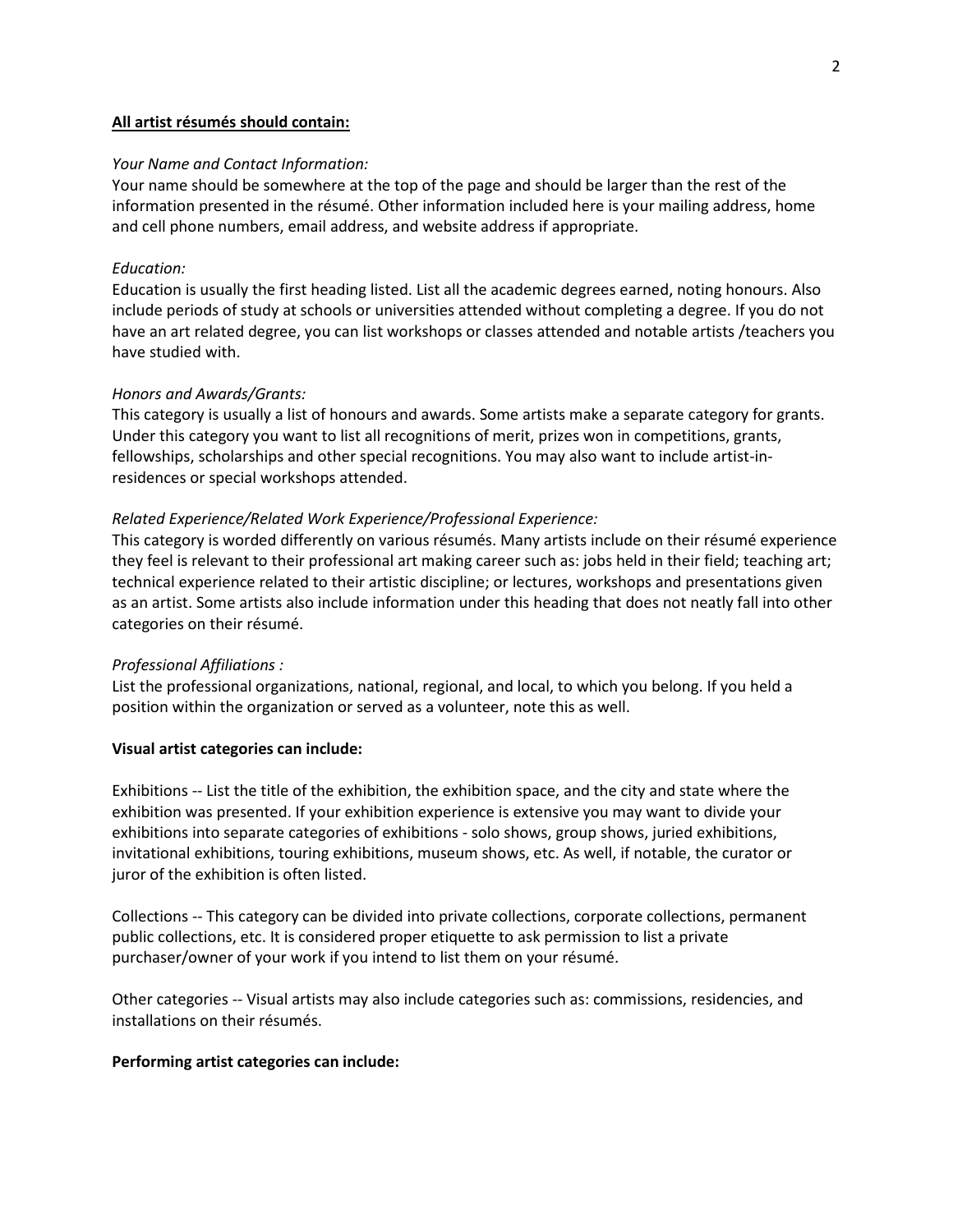#### **All artist résumés should contain:**

#### *Your Name and Contact Information:*

Your name should be somewhere at the top of the page and should be larger than the rest of the information presented in the résumé. Other information included here is your mailing address, home and cell phone numbers, email address, and website address if appropriate.

#### *Education:*

Education is usually the first heading listed. List all the academic degrees earned, noting honours. Also include periods of study at schools or universities attended without completing a degree. If you do not have an art related degree, you can list workshops or classes attended and notable artists /teachers you have studied with.

#### *Honors and Awards/Grants:*

This category is usually a list of honours and awards. Some artists make a separate category for grants. Under this category you want to list all recognitions of merit, prizes won in competitions, grants, fellowships, scholarships and other special recognitions. You may also want to include artist-inresidences or special workshops attended.

#### *Related Experience/Related Work Experience/Professional Experience:*

This category is worded differently on various résumés. Many artists include on their résumé experience they feel is relevant to their professional art making career such as: jobs held in their field; teaching art; technical experience related to their artistic discipline; or lectures, workshops and presentations given as an artist. Some artists also include information under this heading that does not neatly fall into other categories on their résumé.

#### *Professional Affiliations :*

List the professional organizations, national, regional, and local, to which you belong. If you held a position within the organization or served as a volunteer, note this as well.

#### **Visual artist categories can include:**

Exhibitions -- List the title of the exhibition, the exhibition space, and the city and state where the exhibition was presented. If your exhibition experience is extensive you may want to divide your exhibitions into separate categories of exhibitions - solo shows, group shows, juried exhibitions, invitational exhibitions, touring exhibitions, museum shows, etc. As well, if notable, the curator or juror of the exhibition is often listed.

Collections -- This category can be divided into private collections, corporate collections, permanent public collections, etc. It is considered proper etiquette to ask permission to list a private purchaser/owner of your work if you intend to list them on your résumé.

Other categories -- Visual artists may also include categories such as: commissions, residencies, and installations on their résumés.

#### **Performing artist categories can include:**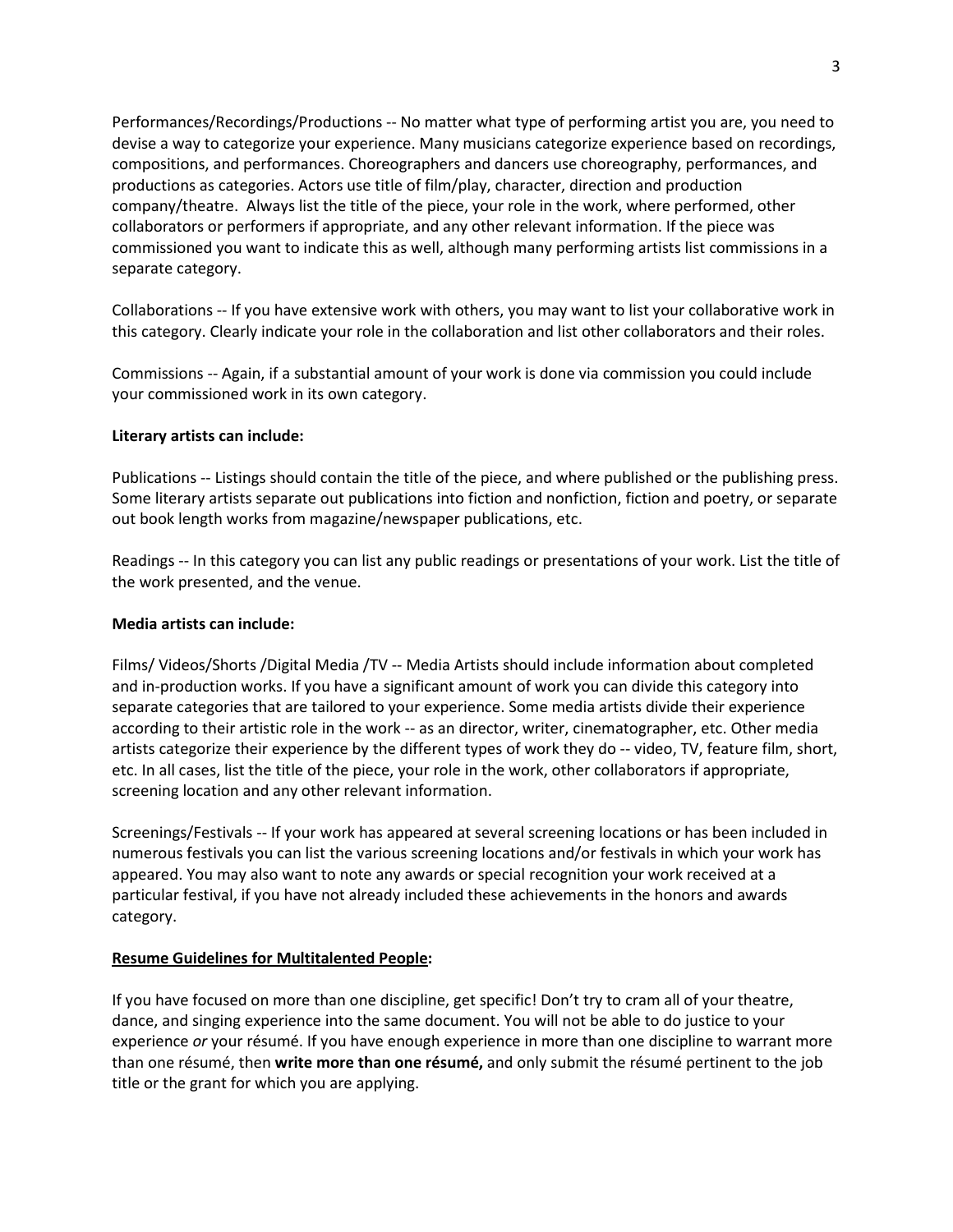Performances/Recordings/Productions -- No matter what type of performing artist you are, you need to devise a way to categorize your experience. Many musicians categorize experience based on recordings, compositions, and performances. Choreographers and dancers use choreography, performances, and productions as categories. Actors use title of film/play, character, direction and production company/theatre. Always list the title of the piece, your role in the work, where performed, other collaborators or performers if appropriate, and any other relevant information. If the piece was commissioned you want to indicate this as well, although many performing artists list commissions in a separate category.

Collaborations -- If you have extensive work with others, you may want to list your collaborative work in this category. Clearly indicate your role in the collaboration and list other collaborators and their roles.

Commissions -- Again, if a substantial amount of your work is done via commission you could include your commissioned work in its own category.

### **Literary artists can include:**

Publications -- Listings should contain the title of the piece, and where published or the publishing press. Some literary artists separate out publications into fiction and nonfiction, fiction and poetry, or separate out book length works from magazine/newspaper publications, etc.

Readings -- In this category you can list any public readings or presentations of your work. List the title of the work presented, and the venue.

#### **Media artists can include:**

Films/ Videos/Shorts /Digital Media /TV -- Media Artists should include information about completed and in-production works. If you have a significant amount of work you can divide this category into separate categories that are tailored to your experience. Some media artists divide their experience according to their artistic role in the work -- as an director, writer, cinematographer, etc. Other media artists categorize their experience by the different types of work they do -- video, TV, feature film, short, etc. In all cases, list the title of the piece, your role in the work, other collaborators if appropriate, screening location and any other relevant information.

Screenings/Festivals -- If your work has appeared at several screening locations or has been included in numerous festivals you can list the various screening locations and/or festivals in which your work has appeared. You may also want to note any awards or special recognition your work received at a particular festival, if you have not already included these achievements in the honors and awards category.

#### **Resume Guidelines for Multitalented People:**

If you have focused on more than one discipline, get specific! Don't try to cram all of your theatre, dance, and singing experience into the same document. You will not be able to do justice to your experience *or* your résumé. If you have enough experience in more than one discipline to warrant more than one résumé, then **write more than one résumé,** and only submit the résumé pertinent to the job title or the grant for which you are applying.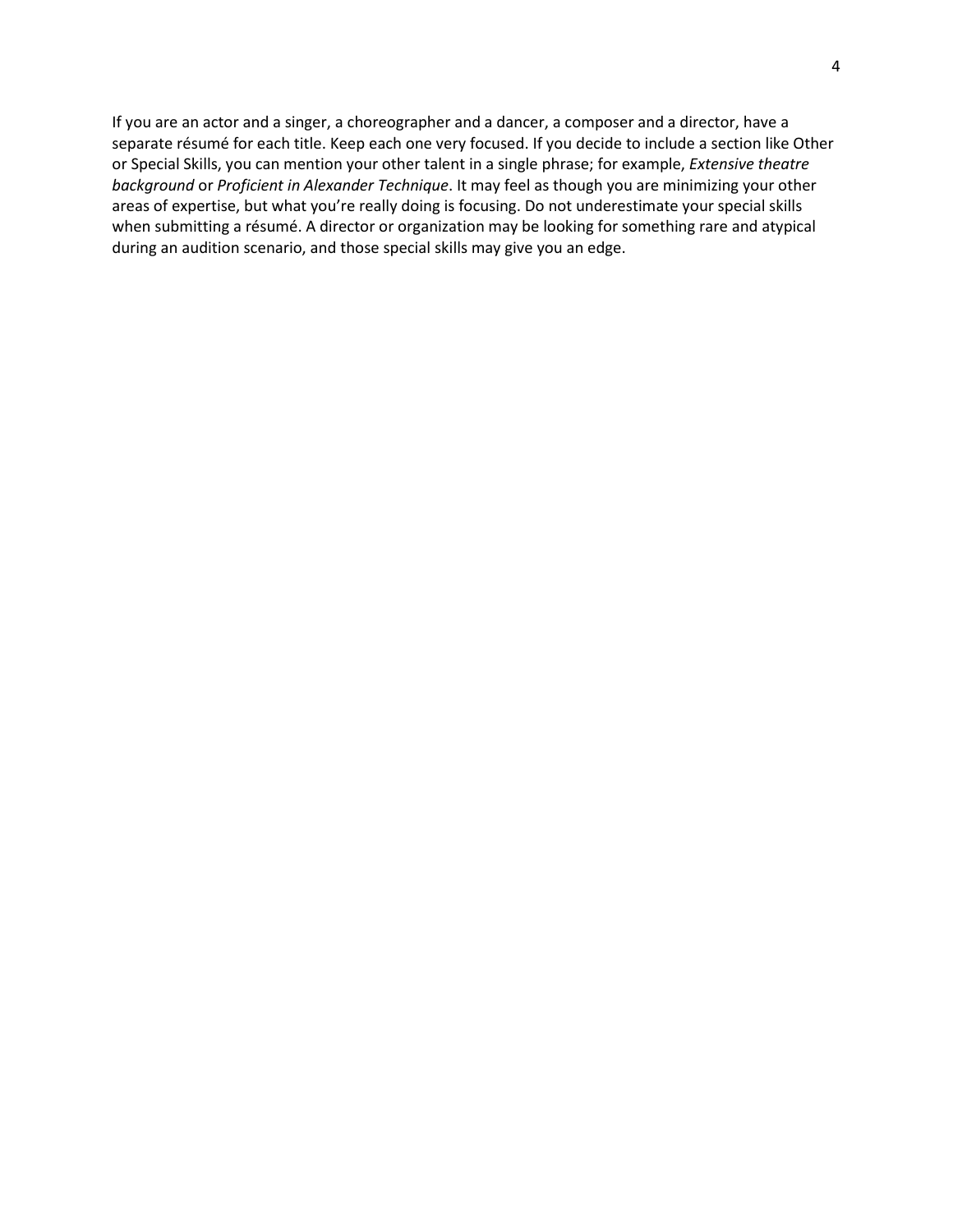If you are an actor and a singer, a choreographer and a dancer, a composer and a director, have a separate résumé for each title. Keep each one very focused. If you decide to include a section like Other or Special Skills, you can mention your other talent in a single phrase; for example, *Extensive theatre background* or *Proficient in Alexander Technique*. It may feel as though you are minimizing your other areas of expertise, but what you're really doing is focusing. Do not underestimate your special skills when submitting a résumé. A director or organization may be looking for something rare and atypical during an audition scenario, and those special skills may give you an edge.